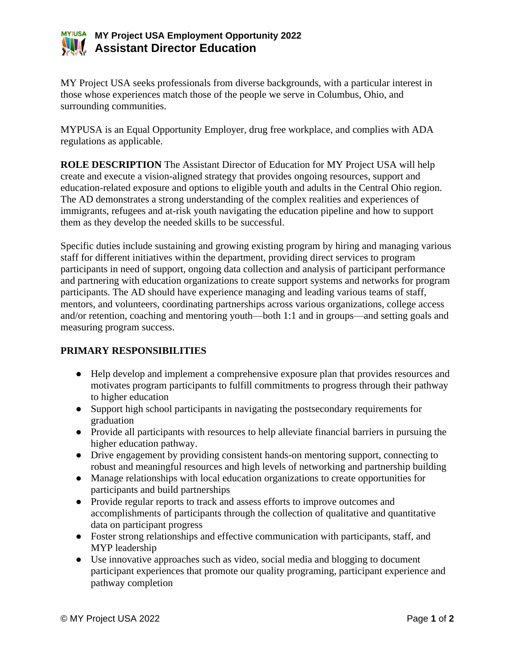

MY Project USA seeks professionals from diverse backgrounds, with a particular interest in those whose experiences match those of the people we serve in Columbus, Ohio, and surrounding communities.

MYPUSA is an Equal Opportunity Employer, drug free workplace, and complies with ADA regulations as applicable.

**ROLE DESCRIPTION** The Assistant Director of Education for MY Project USA will help create and execute a vision-aligned strategy that provides ongoing resources, support and education-related exposure and options to eligible youth and adults in the Central Ohio region. The AD demonstrates a strong understanding of the complex realities and experiences of immigrants, refugees and at-risk youth navigating the education pipeline and how to support them as they develop the needed skills to be successful.

Specific duties include sustaining and growing existing program by hiring and managing various staff for different initiatives within the department, providing direct services to program participants in need of support, ongoing data collection and analysis of participant performance and partnering with education organizations to create support systems and networks for program participants. The AD should have experience managing and leading various teams of staff, mentors, and volunteers, coordinating partnerships across various organizations, college access and/or retention, coaching and mentoring youth—both 1:1 and in groups—and setting goals and measuring program success.

# **PRIMARY RESPONSIBILITIES**

- Help develop and implement a comprehensive exposure plan that provides resources and motivates program participants to fulfill commitments to progress through their pathway to higher education
- Support high school participants in navigating the postsecondary requirements for graduation
- Provide all participants with resources to help alleviate financial barriers in pursuing the higher education pathway.
- Drive engagement by providing consistent hands-on mentoring support, connecting to robust and meaningful resources and high levels of networking and partnership building
- Manage relationships with local education organizations to create opportunities for participants and build partnerships
- Provide regular reports to track and assess efforts to improve outcomes and accomplishments of participants through the collection of qualitative and quantitative data on participant progress
- Foster strong relationships and effective communication with participants, staff, and MYP leadership
- Use innovative approaches such as video, social media and blogging to document participant experiences that promote our quality programing, participant experience and pathway completion